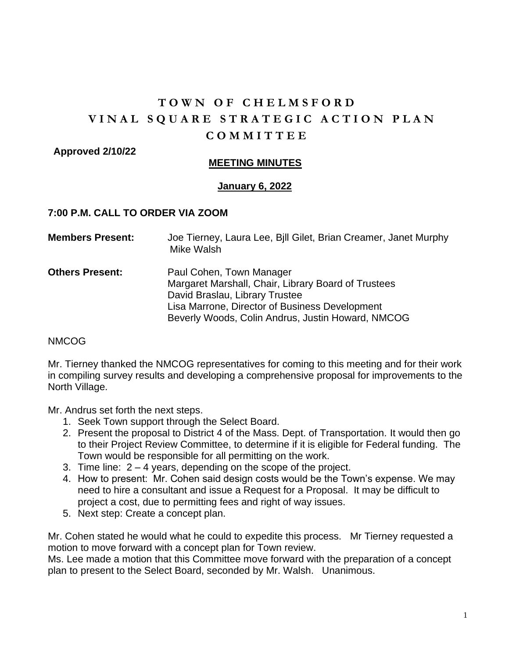# **T O W N O F C H E L M S F O R D VINAL SQUARE STRATEGIC ACTION PLAN C O M M I T T E E**

 **Approved 2/10/22** 

## **MEETING MINUTES**

#### **January 6, 2022**

#### **7:00 P.M. CALL TO ORDER VIA ZOOM**

| <b>Members Present:</b> | Joe Tierney, Laura Lee, Bill Gilet, Brian Creamer, Janet Murphy<br>Mike Walsh                                                         |
|-------------------------|---------------------------------------------------------------------------------------------------------------------------------------|
| <b>Others Present:</b>  | Paul Cohen, Town Manager<br>Margaret Marshall, Chair, Library Board of Trustees                                                       |
|                         | David Braslau, Library Trustee<br>Lisa Marrone, Director of Business Development<br>Beverly Woods, Colin Andrus, Justin Howard, NMCOG |

#### NMCOG

Mr. Tierney thanked the NMCOG representatives for coming to this meeting and for their work in compiling survey results and developing a comprehensive proposal for improvements to the North Village.

Mr. Andrus set forth the next steps.

- 1. Seek Town support through the Select Board.
- 2. Present the proposal to District 4 of the Mass. Dept. of Transportation. It would then go to their Project Review Committee, to determine if it is eligible for Federal funding. The Town would be responsible for all permitting on the work.
- 3. Time line: 2 4 years, depending on the scope of the project.
- 4. How to present: Mr. Cohen said design costs would be the Town's expense. We may need to hire a consultant and issue a Request for a Proposal. It may be difficult to project a cost, due to permitting fees and right of way issues.
- 5. Next step: Create a concept plan.

Mr. Cohen stated he would what he could to expedite this process. Mr Tierney requested a motion to move forward with a concept plan for Town review.

Ms. Lee made a motion that this Committee move forward with the preparation of a concept plan to present to the Select Board, seconded by Mr. Walsh. Unanimous.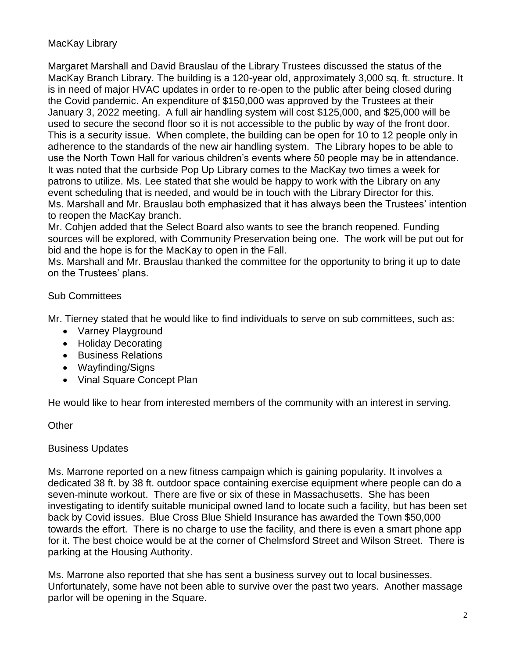# MacKay Library

Margaret Marshall and David Brauslau of the Library Trustees discussed the status of the MacKay Branch Library. The building is a 120-year old, approximately 3,000 sq. ft. structure. It is in need of major HVAC updates in order to re-open to the public after being closed during the Covid pandemic. An expenditure of \$150,000 was approved by the Trustees at their January 3, 2022 meeting. A full air handling system will cost \$125,000, and \$25,000 will be used to secure the second floor so it is not accessible to the public by way of the front door. This is a security issue. When complete, the building can be open for 10 to 12 people only in adherence to the standards of the new air handling system. The Library hopes to be able to use the North Town Hall for various children's events where 50 people may be in attendance. It was noted that the curbside Pop Up Library comes to the MacKay two times a week for patrons to utilize. Ms. Lee stated that she would be happy to work with the Library on any event scheduling that is needed, and would be in touch with the Library Director for this. Ms. Marshall and Mr. Brauslau both emphasized that it has always been the Trustees' intention to reopen the MacKay branch.

Mr. Cohjen added that the Select Board also wants to see the branch reopened. Funding sources will be explored, with Community Preservation being one. The work will be put out for bid and the hope is for the MacKay to open in the Fall.

Ms. Marshall and Mr. Brauslau thanked the committee for the opportunity to bring it up to date on the Trustees' plans.

# Sub Committees

Mr. Tierney stated that he would like to find individuals to serve on sub committees, such as:

- Varney Playground
- Holiday Decorating
- Business Relations
- Wayfinding/Signs
- Vinal Square Concept Plan

He would like to hear from interested members of the community with an interest in serving.

## **Other**

## Business Updates

Ms. Marrone reported on a new fitness campaign which is gaining popularity. It involves a dedicated 38 ft. by 38 ft. outdoor space containing exercise equipment where people can do a seven-minute workout. There are five or six of these in Massachusetts. She has been investigating to identify suitable municipal owned land to locate such a facility, but has been set back by Covid issues. Blue Cross Blue Shield Insurance has awarded the Town \$50,000 towards the effort. There is no charge to use the facility, and there is even a smart phone app for it. The best choice would be at the corner of Chelmsford Street and Wilson Street. There is parking at the Housing Authority.

Ms. Marrone also reported that she has sent a business survey out to local businesses. Unfortunately, some have not been able to survive over the past two years. Another massage parlor will be opening in the Square.